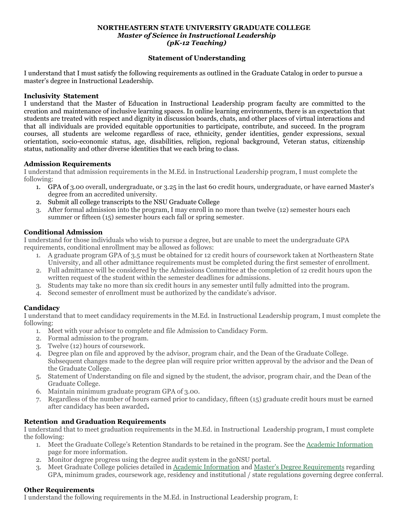### **NORTHEASTERN STATE UNIVERSITY GRADUATE COLLEGE** *Master of Science in Instructional Leadership (pK-12 Teaching)*

## **Statement of Understanding**

I understand that I must satisfy the following requirements as outlined in the Graduate Catalog in order to pursue a master's degree in Instructional Leadership.

#### **Inclusivity Statement**

I understand that the Master of Education in Instructional Leadership program faculty are committed to the creation and maintenance of inclusive learning spaces. In online learning environments, there is an expectation that students are treated with respect and dignity in discussion boards, chats, and other places of virtual interactions and that all individuals are provided equitable opportunities to participate, contribute, and succeed. In the program courses, all students are welcome regardless of race, ethnicity, gender identities, gender expressions, sexual orientation, socio-economic status, age, disabilities, religion, regional background, Veteran status, citizenship status, nationality and other diverse identities that we each bring to class.

### **Admission Requirements**

I understand that admission requirements in the M.Ed. in Instructional Leadership program, I must complete the following:

- 1. GPA of 3.00 overall, undergraduate, or 3.25 in the last 60 credit hours, undergraduate, or have earned Master's degree from an accredited university.
- 2. Submit all college transcripts to the NSU Graduate College
- 3. After formal admission into the program, I may enroll in no more than twelve (12) semester hours each summer or fifteen (15) semester hours each fall or spring semester.

### **Conditional Admission**

I understand for those individuals who wish to pursue a degree, but are unable to meet the undergraduate GPA requirements, conditional enrollment may be allowed as follows:

- 1. A graduate program GPA of 3.5 must be obtained for 12 credit hours of coursework taken at Northeastern State University, and all other admittance requirements must be completed during the first semester of enrollment.
- 2. Full admittance will be considered by the Admissions Committee at the completion of 12 credit hours upon the written request of the student within the semester deadlines for admissions.
- 3. Students may take no more than six credit hours in any semester until fully admitted into the program.
- 4. Second semester of enrollment must be authorized by the candidate's advisor.

# **Candidacy**

I understand that to meet candidacy requirements in the M.Ed. in Instructional Leadership program, I must complete the following:

- 1. Meet with your advisor to complete and file Admission to Candidacy Form.
- 2. Formal admission to the program.
- 3. Twelve (12) hours of coursework.
- 4. Degree plan on file and approved by the advisor, program chair, and the Dean of the Graduate College. Subsequent changes made to the degree plan will require prior written approval by the advisor and the Dean of the Graduate College.
- 5. Statement of Understanding on file and signed by the student, the advisor, program chair, and the Dean of the Graduate College.
- 6. Maintain minimum graduate program GPA of 3.00.
- 7. Regardless of the number of hours earned prior to candidacy, fifteen (15) graduate credit hours must be earned after candidacy has been awarded**.**

# **Retention and Graduation Requirements**

I understand that to meet graduation requirements in the M.Ed. in Instructional Leadership program, I must complete the following:

- 1. Meet the Graduate College's Retention Standards to be retained in the program. See the Academic [Information](https://catalog.nsuok.edu/content.php?catoid=27&navoid=1359#retention-standards) page for more information.
- 2. Monitor degree progress using the degree audit system in the goNSU portal.
- 3. Meet Graduate College policies detailed in Academic [Information](https://catalog.nsuok.edu/content.php?catoid=27&navoid=1359) and Master's Degree [Requirements](https://catalog.nsuok.edu/content.php?catoid=27&navoid=1340) regarding GPA, minimum grades, coursework age, residency and institutional / state regulations governing degree conferral.

### **Other Requirements**

I understand the following requirements in the M.Ed. in Instructional Leadership program, I: